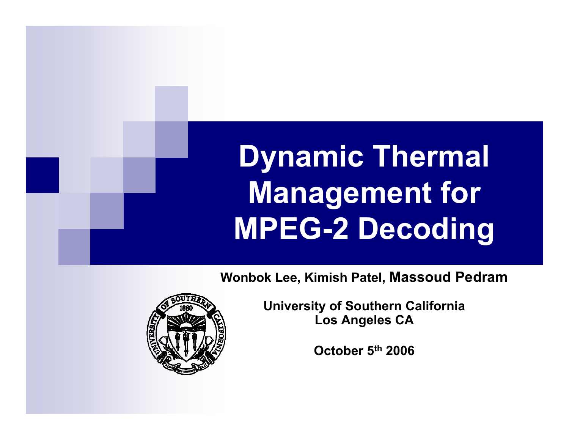# **Dynamic Thermal Management for MPEG-2 Decoding**

**Wonbok Lee, Kimish Patel, Massoud Pedram**



**U i it f S th C lif i niversity o Southern alifornia Los Angeles CA**

**October 5th 2006**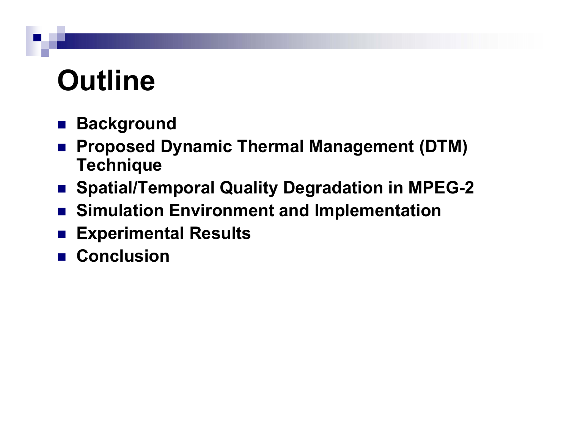# **Outline**

- $\mathcal{L}(\mathcal{A})$ **Background**
- $\mathcal{L}_{\mathcal{A}}$  **Proposed Dynamic Thermal Management (DTM) Technique**
- **Spatial/Temporal Quality Degradation in MPEG MPEG-2**
- **Simulation Environment and Implementation**
- $\mathcal{L}_{\mathcal{A}}$ **Experimental Results**
- Conclusion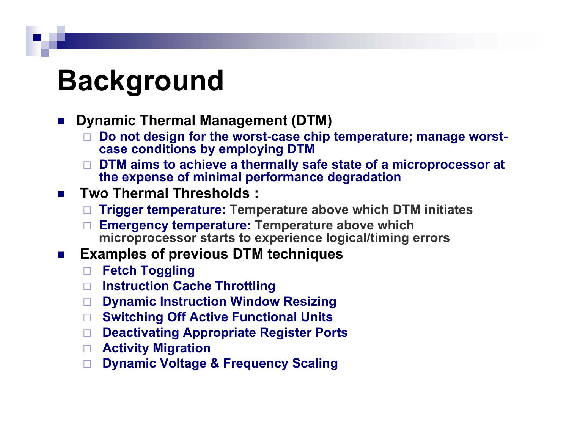## **Background**

#### $\mathcal{L}_{\mathcal{A}}$ **Dynamic Thermal Management (DTM)**

- п Do not design for the worst-case chip temperature; manage worst**case conditions by employing DTM**
- $\Box$  **DTM aims to achieve a thermally safe state of a microprocessor at the expense of minimal performance degradation**

#### $\mathcal{L}^{\mathcal{L}}$ **Two Thermal Thresholds :**

- □ **Trigger temperature: Temperature above which DTM initiates**
- **Emergency temperature: Temperature above which microprocessor starts to experience logical/timing errors**
- $\mathcal{L}_{\rm{max}}$  **Examples of previous DTM techniques**
	- **Fetch Toggling**
	- **Instruction Cache Throttling**
	- **Dynamic Instruction Window Resizing**
	- **Switching Off Active Functional Units**
	- **Deactivating Appropriate Register Ports**
	- **Activity Migration**
	- □ **Dynamic Voltage & Frequency Scaling**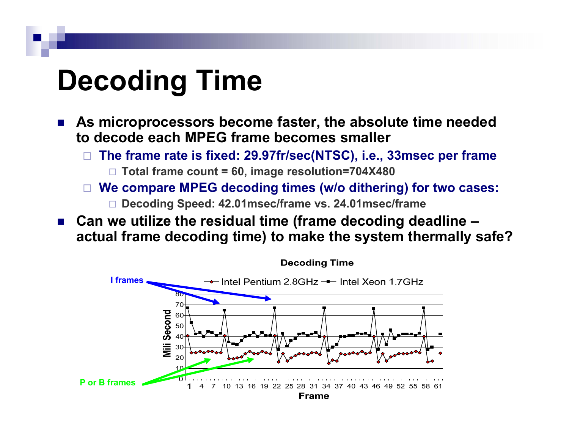# **Decoding Time**

- $\mathcal{L}^{\text{max}}$  **As microprocessors become faster, the absolute time needed to decode each MPEG frame becomes smaller**
	- $\Box$  **The frame rate is fixed: 29.97fr/sec(NTSC), i.e., 33msec per frame Total frame count = 60, image resolution=704X480**
	- **We compare MPEG decoding times (w/o dithering) for two cases:**
		- **Decoding Speed: 42.01msec/frame vs. 24.01msec/frame**
- **Can we utilize the residual time (frame decoding deadline – actual frame decoding time) to make the system thermally safe?**

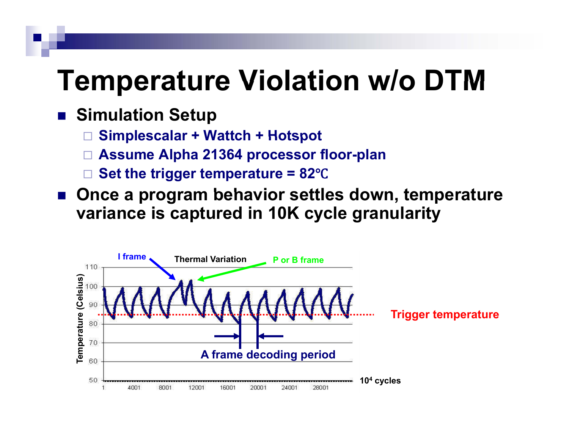### **Temperature Violation w/o DTM**

#### ■ Simulation Setup

- $\Box$ **Simplescalar <sup>+</sup> Wattch <sup>+</sup> Hotspot**
- $\Box$ **Assume Alpha 21364 processor floor-plan**
- $\Box$ **Set the trigger temperature = 82** Ԩ
- Once a program behavior settles down, temperature **variance is captured in 10K cycle granularity**

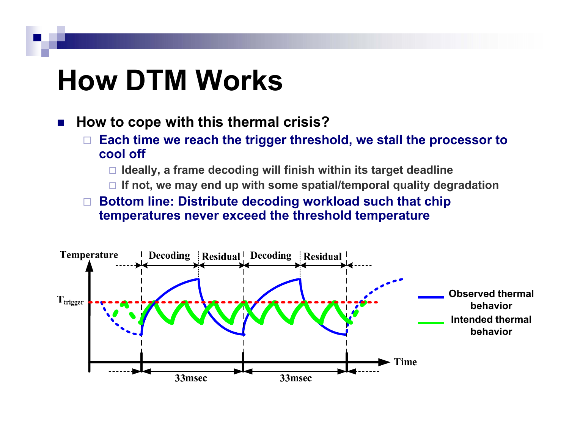# **How DTM Works DTM**

#### $\mathcal{L}_{\mathcal{A}}$ **How to cope with this thermal crisis?**

- $\Box$  $\Box$  Each time we reach the trigger threshold, we stall the processor to **cool off**
	- **Ideally, a frame decoding will finish within its target deadline**
	- **If not, we may end up with some spatial/temporal quality degradation**

#### $\Box$  **Bottom line: Distribute decoding workload such that chip temperatures never exceed the threshold temperature**

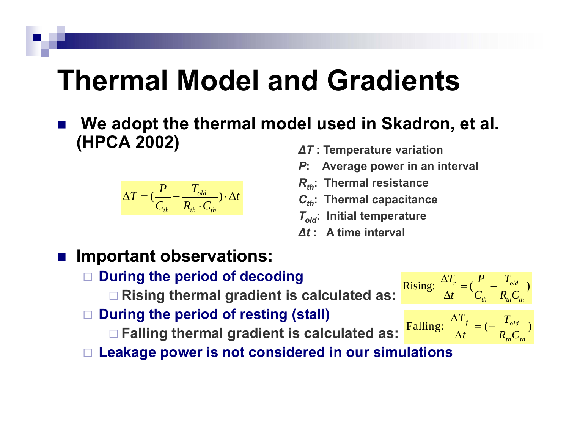# **Thermal Model and Gradients Gradients**

m. **We adopt the thermal model used in Skadron, et al. (HPCA 2002)**

$$
\Delta T = (\frac{P}{C_{th}} - \frac{T_{old}}{R_{th} \cdot C_{th}}) \cdot \Delta t
$$

- *∆T* **: Temperature variation**
- *P***: Average power in an interval**
- *Rth***: Thermal resistance**
- *C***<sub>th</sub>: Thermal capacitance**
- *Told***: Initial temperature**
- *∆t* **: A time interval**

#### r. **Important observations:**

- $\Box$  **During the period of decoding** 
	- **a Rising thermal gradient is calculated as:**  $\frac{\Delta T_r}{\Delta t} = (\frac{P}{C_{th}} \frac{T_{old}}{R_{th}C_{th}})$
- $\Box$ **During the period of resting (stall)**

**Falling thermal gradient is calculated as:**

- $t$  *C*<sub>*c*</sub> *R*<sub>*c*</sub>*C*  $\frac{\Delta T_r}{\Delta t} = \left(\frac{P}{C_{th}} - \right)$  $T_{\rm f}$  *T* 
	- Falling:  $\frac{d^{2} f}{dx^{2}} = (- \frac{1}{R} \frac{d d}{dx})$  $th$   $\sim$   $th$ *t*  $R_{th}C$  $\frac{\Delta T_{_f}}{\Delta t}=$  (  $-$

*T*

 $\Box$  Leakage power is not considered in our simulations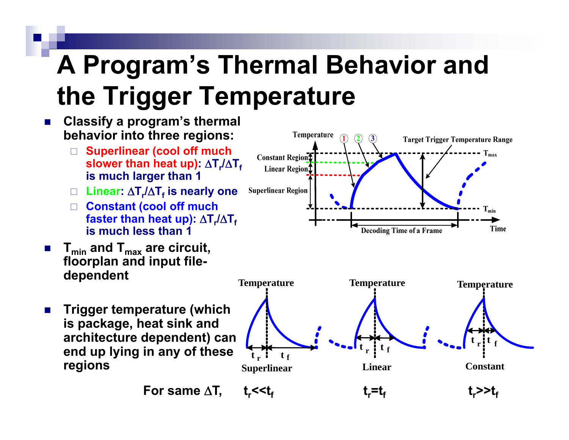# **A Program's Thermal Behavior and the Trigger Temperature**

#### $\blacksquare$  **Classify a program's thermal behavior into three regions:**

- $\Box$  **Superlinear (cool off much slower than heat up): ΔT,/ΔT, is much larger than 1**
- $\square$  Linear: ΔT<sub>r</sub>/ΔT<sub>f</sub> is nearly one
- **Constant (cool off much faster than heat up): ΔT,/ΔT<sub>f</sub> is much less than 1**
- F. **Tmin and Tmax are circuit circuit, floorplan and input file-**
- $\mathcal{L}^{\mathcal{L}}$  **Trigger temperature (which is package, heat sink and architecture dependent) can end u p l yin g in an y of these tpy g y**

**For same** 



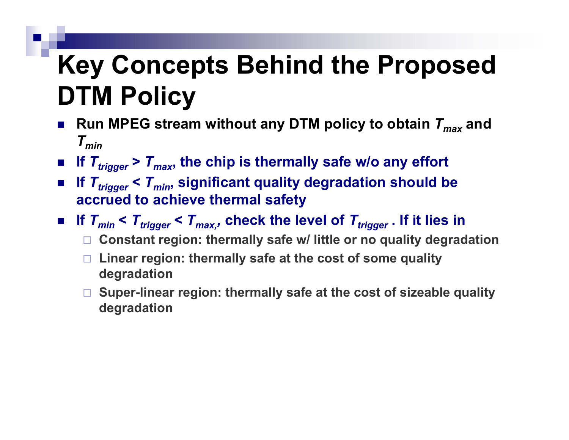## **Key Concepts Behind the Proposed DTM Policy**

- У. ■ Run MPEG stream without any DTM policy to obtain  $T_{max}$  and *T min*
- $\blacksquare$  If  $T_{trigger}$  >  $T_{max}$ , the chip is thermally safe w/o any effort
- $\blacksquare$  If  $T_{trigger}$  <  $T_{min}$ , significant quality degradation should be **accrued to achieve thermal safety**
- $\blacksquare$  If  $\mathcal{T}_{min}$  <  $\mathcal{T}_{trigger}$  <  $\mathcal{T}_{max, r}$  check the level of  $\mathcal{T}_{trigger}$  . If it lies in
	- **Constant region: thermally safe w/ little or no quality degradation**
	- **Linear region: thermally safe at the cost of some quality degradation**
	- **Super-linear region: thermally safe at the cost of sizeable quality degradation**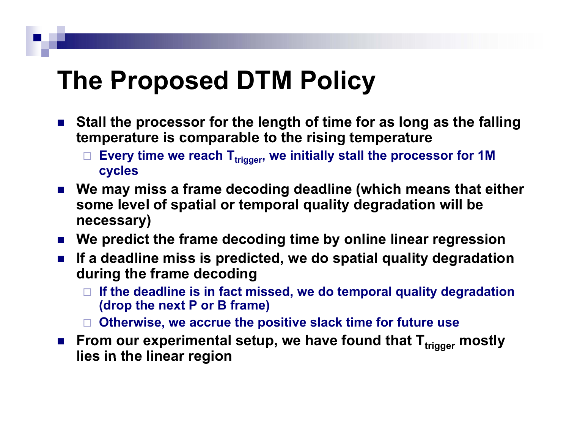### **The Proposed DTM Policy**

- **Stall the processor for the length of time for as long as the falling temperature is comparable to the rising temperature**
	- $\Box$ Every time we reach T<sub>trigger</sub>, we initially stall the processor for 1M **cycles**
- **We may miss <sup>a</sup> frame decoding deadline (which means that either some level of spatial or temporal quality degradation will be necessary)**
- **We predict the frame decoding time by online linear regression**
- P. **If a deadline miss is predicted, we do spatial quality degradation during the frame decoding**
	- $\Box$  **If the deadline is in fact missed, we do temporal quality degradation (d th t P B f ) (drop the nex P or frame)**
	- **Otherwise, we accrue the positive slack time for future use**
- From our experimental setup, we have found that T<sub>trigger</sub> mostly<br>lies in the linear region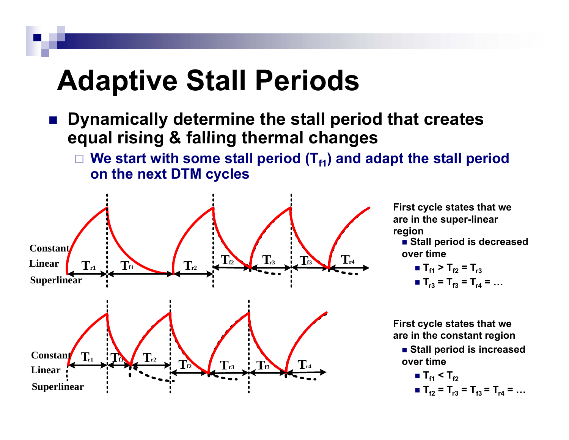# **Adaptive Stall Periods**

- m. ■ Dynamically determine the stall period that creates **equal rising & falling thermal changes** ■<br>mically determir<br>I rising & falling
	- $\Box$ We start with some stall period (T<sub>f1</sub>) and adapt the stall period **on the next DTM cycles**



**First cycle states that we are in the super-linear region**

**over time**

**Tf1 > Tf2 = Tr3 Tr3= Tf3 = Tr4 = …**

**First cycle states that we are in the constant region**

■ Stall period is increased **tiover time**

■ 
$$
T_{f1} < T_{f2}
$$
  
=  $T_{f2} = T_{r3} = T_{f3} = T_{r4} = ...$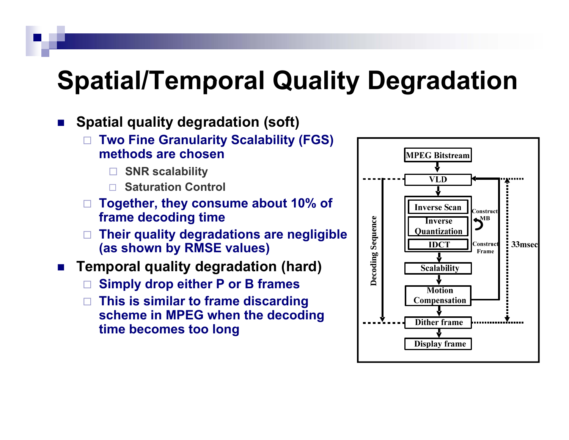### **Spatial/Temporal Quality Degradation**

#### $\mathcal{L}_{\mathcal{A}}$ **Spatial quality degradation (soft)**

- □  $\Box$  Two Fine Granularity Scalability (FGS) **methods are chosen**
	- □ **SNR scalability**
	- $\Box$ **Saturation Control**
- □ **Together, they consume about 10% of frame decoding time**
- □ **Their quality degradations are negligible (as shown by RMSE values)** ame decoding time<br>neir quality degradations are negligible \_\_\_\_\_\_\_\_\_\_\_\_\_\_\_\_\_\_\_\_\_<br>s shown by RMSE values)
- $\mathcal{L}_{\mathcal{A}}$  **Temporal quality degradation (hard)**
	- $\Box$ **Simply drop either P or B frames**
	- □ **This is similar to frame discarding scheme in MPEG when the decoding time becomes too long**

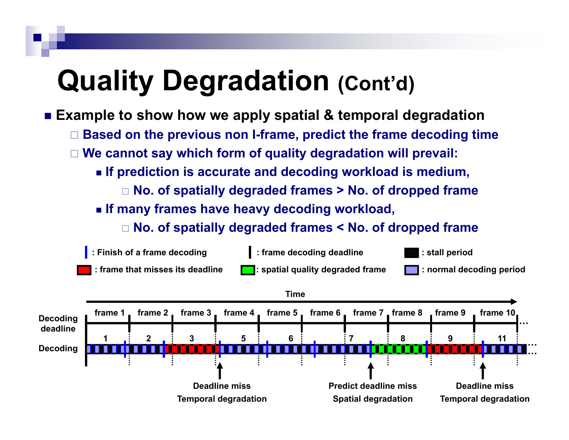# **Quality Degradation (Cont'd)**

- **Example to show how we apply spatial & temporal degradation** to show how we apply spatial & temporal degradat<sup>,</sup><br>d on the previous non I-frame, predict the frame decodin
	- $\Box$ **Based on the previous non I -frame predict the frame decoding time**
	- □ **We cannot say which form of quality degradation will prevail:**
		- **If prediction is accurate and decoding workload is medium,**
			- $\Box$  No. of spatially degraded frames > No. of dropped frame
		- **If many frames have heavy decoding workload,**
			- **No. of spatially degraded frames < No. of dropped frame**

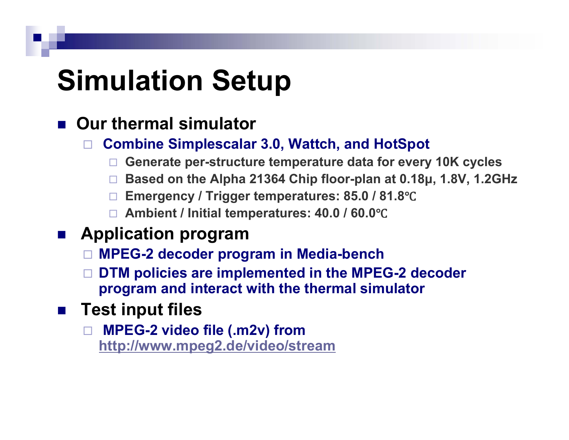# **Simulation Setup**

### **Our thermal simulator**

- $\Box$  **Combine Simplescalar 3.0, Wattch, and HotSpot**
	- $\Box$ **Generate per-structure temperature data for every 10K cycles**
	- □ **Based on the Alpha 21364 Chip floor-plan at 0.18 μ, 1.8V, 1.2GHz**
	- $\Box$  $\Box~$  Emergency / Trigger temperatures: 85.0 / 81.8°C
	- **Ambient / Initial temperatures: 40.0 / 60.0** Ԩ
- $\mathcal{L}(\mathcal{A})$  **Application program**
	- **MPEG-2 decoder program in Media-bench**
	- $\Box$  **DTM policies are implemented in the MPEG-2 decoder program and interact with the thermal simulator**
- $\mathcal{L}(\mathcal{A})$  **Test input files**
	- **MPEG-2 video file (.m2v) from http://www.mpeg2.de/video/stream**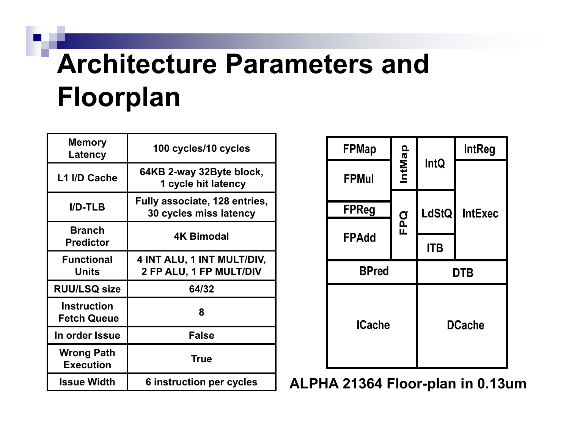# **Architecture Parameters and Floorplan**

| <b>Memory</b><br>Latency                 | 100 cycles/10 cycles                                    |  |  |  |  |  |
|------------------------------------------|---------------------------------------------------------|--|--|--|--|--|
| L1 I/D Cache                             | 64KB 2-way 32Byte block,<br>1 cycle hit latency         |  |  |  |  |  |
| $I/D-TLB$                                | Fully associate, 128 entries,<br>30 cycles miss latency |  |  |  |  |  |
| <b>Branch</b><br><b>Predictor</b>        | <b>4K Bimodal</b>                                       |  |  |  |  |  |
| <b>Functional</b><br><b>Units</b>        | 4 INT ALU, 1 INT MULT/DIV,<br>2 FP ALU, 1 FP MULT/DIV   |  |  |  |  |  |
| <b>RUU/LSQ size</b>                      | 64/32                                                   |  |  |  |  |  |
| <b>Instruction</b><br><b>Fetch Queue</b> | 8                                                       |  |  |  |  |  |
| In order Issue                           | <b>False</b>                                            |  |  |  |  |  |
| <b>Wrong Path</b><br><b>Execution</b>    | <b>True</b>                                             |  |  |  |  |  |
| <b>Issue Width</b>                       | <b>6 instruction per cycles</b>                         |  |  |  |  |  |

| <b>FPMap</b>  |               |               | <b>IntReg</b>  |  |  |
|---------------|---------------|---------------|----------------|--|--|
| <b>FPMul</b>  | <b>IntMap</b> | <b>IntQ</b>   |                |  |  |
| <b>FPReg</b>  |               | LdStQ         | <b>IntExec</b> |  |  |
| <b>FPAdd</b>  | FPQ           | <b>ITB</b>    |                |  |  |
| <b>BPred</b>  |               | <b>DTB</b>    |                |  |  |
| <b>ICache</b> |               | <b>DCache</b> |                |  |  |

**Issue Width 6 instruction per cycles ALPHA 21364 Floor-plan in 0.13um**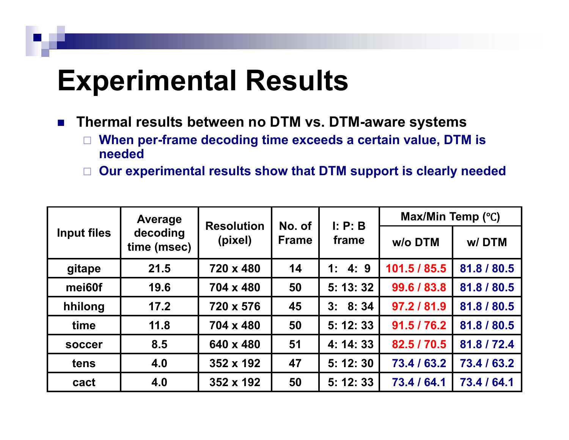## **Experimental Results**

- $\mathcal{L}_{\rm{max}}$  **Thermal results between no DTM vs. DTM-aware systems**
	- $\Box$  When per-frame decoding time exceeds a certain value, DTM is **needed**
	- **Our experimental results show that DTM support is clearly needed**

| <b>Input files</b> | <b>Average</b><br>decoding<br>time (msec) | <b>Resolution</b><br>(pixel) | No. of<br><b>Frame</b> | I: P: B   | Max/Min Temp (°C) |             |  |  |
|--------------------|-------------------------------------------|------------------------------|------------------------|-----------|-------------------|-------------|--|--|
|                    |                                           |                              |                        | frame     | w/o DTM           | w/DTM       |  |  |
| gitape             | 21.5                                      | 720 x 480                    | 14                     | 1: 4: 9   | 101.5 / 85.5      | 81.8 / 80.5 |  |  |
| mei60f             | 19.6                                      | 704 x 480                    | 50                     | 5: 13: 32 | 99.6 / 83.8       | 81.8 / 80.5 |  |  |
| hhilong            | 17.2                                      | 720 x 576                    | 45                     | 3: 8: 34  | 97.2 / 81.9       | 81.8 / 80.5 |  |  |
| time               | 11.8                                      | 704 x 480                    | 50                     | 5: 12: 33 | 91.5 / 76.2       | 81.8 / 80.5 |  |  |
| <b>soccer</b>      | 8.5                                       | 640 x 480                    | 51                     | 4: 14: 33 | 82.5 / 70.5       | 81.8 / 72.4 |  |  |
| tens               | 4.0                                       | 352 x 192                    | 47                     | 5:12:30   | 73.4 / 63.2       | 73.4 / 63.2 |  |  |
| cact               | 4.0                                       | 352 x 192                    | 50                     | 5: 12: 33 | 73.4 / 64.1       | 73.4 / 64.1 |  |  |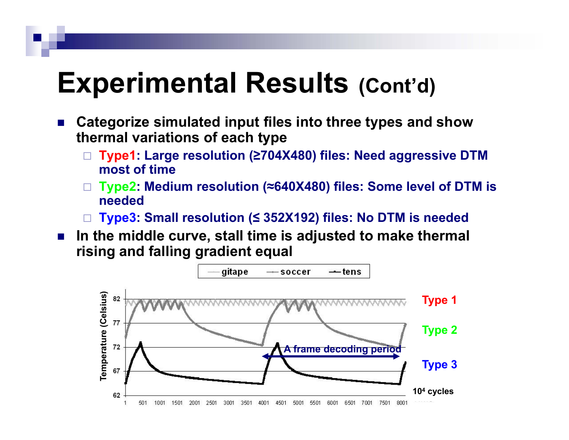### **Experimental Results (C t'd) (Cont'd)**

- $\mathcal{L}_{\mathcal{A}}$  **Categorize simulated input files into three types and show thermal variations of each type**
	- $\Box$  **Type1: Large resolution ( ≥704X480) files: Need aggressive DTM most of time**
	- $\Box$ **Type2: Medium resolution (≈640X480) files: Some level of DTM is needed**
	- □ **Type3: Small resolution ( ≤ 352X192) files: No DTM is needed**
- $\mathcal{L}_{\mathcal{A}}$  **In the middle curve, stall time is adjusted to make thermal ri i d f lli di t l ising an alling gradien t equal**

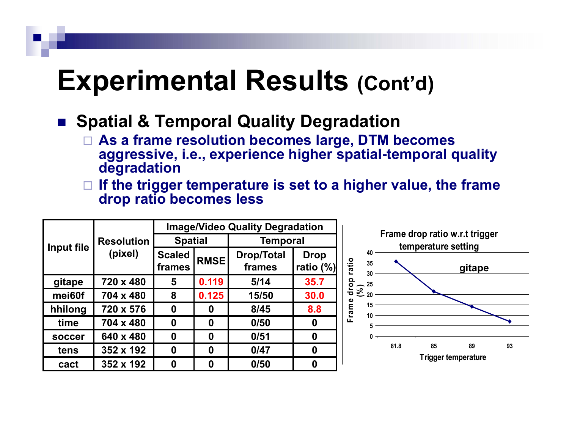### **Experimental Results (Cont'd)**

#### ■ Spatial & Temporal Quality Degradation

- **A f l ti b l DTM b As a frame resolution becomes large, becomes aggressive, i.e., experience higher spatial-temporal quality degradation**
- $\Box$  $\Box$  If the trigger temperature is set to a higher value, the frame **drop ratio becomes less**

|                                            |                | <b>Image/Video Quality Degradation</b> |          |                             |                                                       |                               |    |      |    |                     |    |
|--------------------------------------------|----------------|----------------------------------------|----------|-----------------------------|-------------------------------------------------------|-------------------------------|----|------|----|---------------------|----|
| <b>Resolution</b><br>Input file<br>(pixel) | <b>Spatial</b> |                                        | Temporal |                             | Frame drop ratio w.r.t trigger<br>temperature setting |                               |    |      |    |                     |    |
|                                            |                | <b>Scaled</b><br>frames                | RMSE     | <b>Drop/Total</b><br>frames | <b>Drop</b><br>ratio (%)                              | 40<br>ratio<br>35             | 30 |      |    | gitape              |    |
| gitape                                     | 720 x 480      | 5                                      | 0.119    | 5/14                        | 35.7                                                  | <u>ဝို</u>                    |    |      |    |                     |    |
| mei60f                                     | 704 x 480      | 8                                      | 0.125    | 15/50                       | 30.0                                                  | $\frac{5}{6}$ $\frac{25}{20}$ |    |      |    |                     |    |
| hhilong                                    | 720 x 576      | 0                                      | 0        | 8/45                        | 8.8                                                   | rame<br>15<br>10              |    |      |    |                     |    |
| time                                       | 704 x 480      | 0                                      | 0        | 0/50                        | $\mathbf 0$                                           | ш<br>5                        |    |      |    |                     |    |
| soccer                                     | 640 x 480      | 0                                      | 0        | 0/51                        | $\mathbf 0$                                           | 0                             |    |      |    |                     |    |
| tens                                       | 352 x 192      | $\boldsymbol{0}$                       | 0        | 0/47                        | $\mathbf 0$                                           |                               |    | 81.8 | 85 | 89                  | 93 |
| cact                                       | 352 x 192      | 0                                      | 0        | 0/50                        | $\mathbf 0$                                           |                               |    |      |    | Trigger temperature |    |